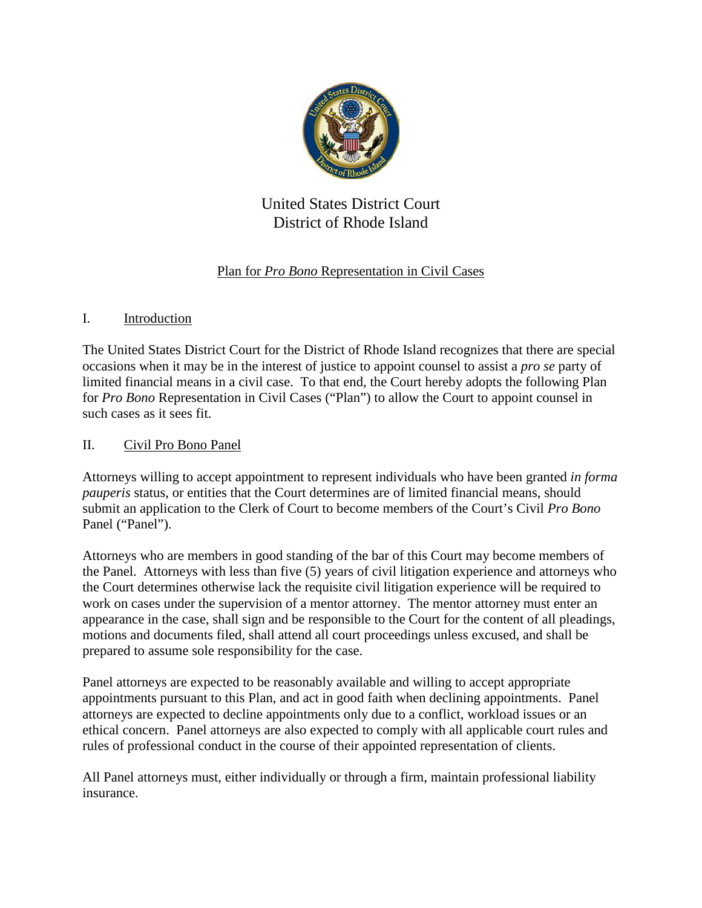

# United States District Court District of Rhode Island

## Plan for *Pro Bono* Representation in Civil Cases

### I. Introduction

The United States District Court for the District of Rhode Island recognizes that there are special occasions when it may be in the interest of justice to appoint counsel to assist a *pro se* party of limited financial means in a civil case. To that end, the Court hereby adopts the following Plan for *Pro Bono* Representation in Civil Cases ("Plan") to allow the Court to appoint counsel in such cases as it sees fit.

### II. Civil Pro Bono Panel

Attorneys willing to accept appointment to represent individuals who have been granted *in forma pauperis* status, or entities that the Court determines are of limited financial means, should submit an application to the Clerk of Court to become members of the Court's Civil *Pro Bono* Panel ("Panel").

Attorneys who are members in good standing of the bar of this Court may become members of the Panel. Attorneys with less than five (5) years of civil litigation experience and attorneys who the Court determines otherwise lack the requisite civil litigation experience will be required to work on cases under the supervision of a mentor attorney. The mentor attorney must enter an appearance in the case, shall sign and be responsible to the Court for the content of all pleadings, motions and documents filed, shall attend all court proceedings unless excused, and shall be prepared to assume sole responsibility for the case.

Panel attorneys are expected to be reasonably available and willing to accept appropriate appointments pursuant to this Plan, and act in good faith when declining appointments. Panel attorneys are expected to decline appointments only due to a conflict, workload issues or an ethical concern. Panel attorneys are also expected to comply with all applicable court rules and rules of professional conduct in the course of their appointed representation of clients.

All Panel attorneys must, either individually or through a firm, maintain professional liability insurance.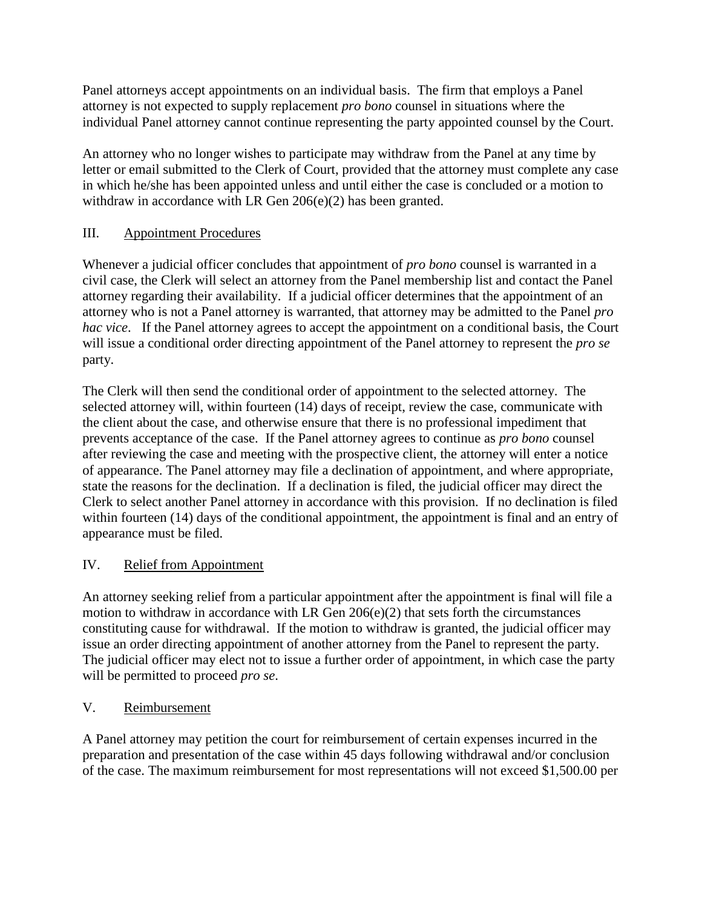Panel attorneys accept appointments on an individual basis. The firm that employs a Panel attorney is not expected to supply replacement *pro bono* counsel in situations where the individual Panel attorney cannot continue representing the party appointed counsel by the Court.

An attorney who no longer wishes to participate may withdraw from the Panel at any time by letter or email submitted to the Clerk of Court, provided that the attorney must complete any case in which he/she has been appointed unless and until either the case is concluded or a motion to withdraw in accordance with LR Gen 206(e)(2) has been granted.

## III. Appointment Procedures

Whenever a judicial officer concludes that appointment of *pro bono* counsel is warranted in a civil case, the Clerk will select an attorney from the Panel membership list and contact the Panel attorney regarding their availability. If a judicial officer determines that the appointment of an attorney who is not a Panel attorney is warranted, that attorney may be admitted to the Panel *pro hac vice*. If the Panel attorney agrees to accept the appointment on a conditional basis, the Court will issue a conditional order directing appointment of the Panel attorney to represent the *pro se* party.

The Clerk will then send the conditional order of appointment to the selected attorney. The selected attorney will, within fourteen (14) days of receipt, review the case, communicate with the client about the case, and otherwise ensure that there is no professional impediment that prevents acceptance of the case. If the Panel attorney agrees to continue as *pro bono* counsel after reviewing the case and meeting with the prospective client, the attorney will enter a notice of appearance. The Panel attorney may file a declination of appointment, and where appropriate, state the reasons for the declination. If a declination is filed, the judicial officer may direct the Clerk to select another Panel attorney in accordance with this provision. If no declination is filed within fourteen (14) days of the conditional appointment, the appointment is final and an entry of appearance must be filed.

## IV. Relief from Appointment

An attorney seeking relief from a particular appointment after the appointment is final will file a motion to withdraw in accordance with LR Gen 206(e)(2) that sets forth the circumstances constituting cause for withdrawal. If the motion to withdraw is granted, the judicial officer may issue an order directing appointment of another attorney from the Panel to represent the party. The judicial officer may elect not to issue a further order of appointment, in which case the party will be permitted to proceed *pro se*.

## V. Reimbursement

A Panel attorney may petition the court for reimbursement of certain expenses incurred in the preparation and presentation of the case within 45 days following withdrawal and/or conclusion of the case. The maximum reimbursement for most representations will not exceed \$1,500.00 per